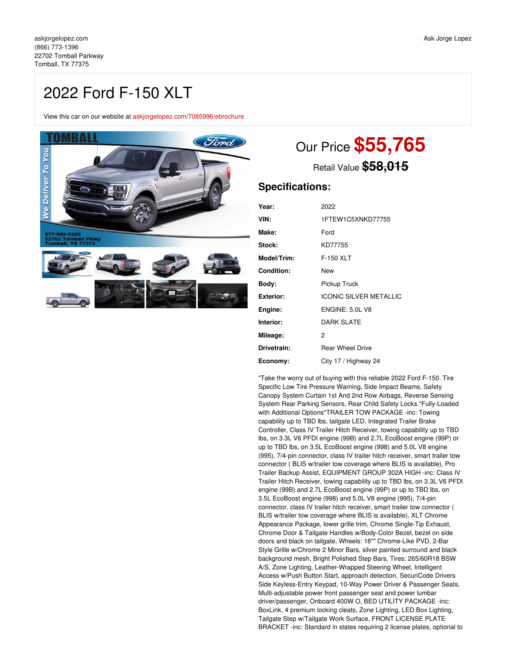## 2022 Ford F-150 XLT

View this car on our website at [askjorgelopez.com/7085996/ebrochure](https://askjorgelopez.com/vehicle/7085996/2022-ford-f-150-xlt-tomball-tx-77375/7085996/ebrochure)



# Our Price **\$55,765**

Retail Value **\$58,015**

### **Specifications:**

| Year:            | 2022                          |
|------------------|-------------------------------|
| VIN:             | 1FTEW1C5XNKD77755             |
| Make:            | Ford                          |
| Stock:           | KD77755                       |
| Model/Trim:      | F-150 XLT                     |
| Condition:       | New                           |
| Body:            | Pickup Truck                  |
| <b>Exterior:</b> | <b>ICONIC SILVER METALLIC</b> |
| Engine:          | <b>ENGINE: 5.0L V8</b>        |
| Interior:        | <b>DARK SLATE</b>             |
| Mileage:         | 2                             |
| Drivetrain:      | <b>Rear Wheel Drive</b>       |
| Economy:         | City 17 / Highway 24          |

"Take the worry out of buying with this reliable 2022 Ford F-150. Tire Specific Low Tire Pressure Warning, Side Impact Beams, Safety Canopy System Curtain 1st And 2nd Row Airbags, Reverse Sensing System Rear Parking Sensors, Rear Child Safety Locks.\*Fully-Loaded with Additional Options\*TRAILER TOW PACKAGE -inc: Towing capability up to TBD lbs, tailgate LED, Integrated Trailer Brake Controller, Class IV Trailer Hitch Receiver, towing capability up to TBD lbs, on 3.3L V6 PFDI engine (99B) and 2.7L EcoBoost engine (99P) or up to TBD lbs, on 3.5L EcoBoost engine (998) and 5.0L V8 engine (995), 7/4-pin connector, class IV trailer hitch receiver, smart trailer tow connector ( BLIS w/trailer tow coverage where BLIS is available), Pro Trailer Backup Assist, EQUIPMENT GROUP 302A HIGH -inc: Class IV Trailer Hitch Receiver, towing capability up to TBD lbs, on 3.3L V6 PFDI engine (99B) and 2.7L EcoBoost engine (99P) or up to TBD lbs, on 3.5L EcoBoost engine (998) and 5.0L V8 engine (995), 7/4-pin connector, class IV trailer hitch receiver, smart trailer tow connector ( BLIS w/trailer tow coverage where BLIS is available), XLT Chrome Appearance Package, lower grille trim, Chrome Single-Tip Exhaust, Chrome Door & Tailgate Handles w/Body-Color Bezel, bezel on side doors and black on tailgate, Wheels: 18"" Chrome-Like PVD, 2-Bar Style Grille w/Chrome 2 Minor Bars, silver painted surround and black background mesh, Bright Polished Step Bars, Tires: 265/60R18 BSW A/S, Zone Lighting, Leather-Wrapped Steering Wheel, Intelligent Access w/Push Button Start, approach detection, SecuriCode Drivers Side Keyless-Entry Keypad, 10-Way Power Driver & Passenger Seats, Multi-adjustable power front passenger seat and power lumbar driver/passenger, Onboard 400W O, BED UTILITY PACKAGE -inc: BoxLink, 4 premium locking cleats, Zone Lighting, LED Box Lighting, Tailgate Step w/Tailgate Work Surface, FRONT LICENSE PLATE BRACKET -inc: Standard in states requiring 2 license plates, optional to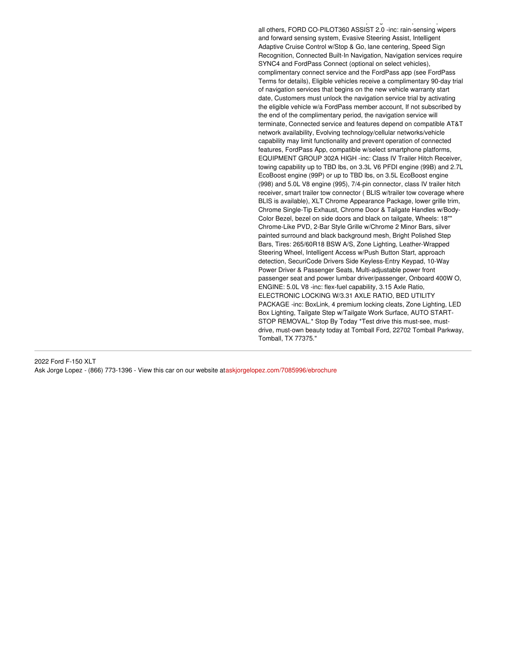all others, FORD CO-PILOT360 ASSIST 2.0 -inc: rain-sensing wipers and forward sensing system, Evasive Steering Assist, Intelligent Adaptive Cruise Control w/Stop & Go, lane centering, Speed Sign Recognition, Connected Built-In Navigation, Navigation services require SYNC4 and FordPass Connect (optional on select vehicles), complimentary connect service and the FordPass app (see FordPass Terms for details), Eligible vehicles receive a complimentary 90-day trial of navigation services that begins on the new vehicle warranty start date, Customers must unlock the navigation service trial by activating the eligible vehicle w/a FordPass member account, If not subscribed by the end of the complimentary period, the navigation service will terminate, Connected service and features depend on compatible AT&T network availability, Evolving technology/cellular networks/vehicle capability may limit functionality and prevent operation of connected features, FordPass App, compatible w/select smartphone platforms, EQUIPMENT GROUP 302A HIGH -inc: Class IV Trailer Hitch Receiver, towing capability up to TBD lbs, on 3.3L V6 PFDI engine (99B) and 2.7L EcoBoost engine (99P) or up to TBD lbs, on 3.5L EcoBoost engine (998) and 5.0L V8 engine (995), 7/4-pin connector, class IV trailer hitch receiver, smart trailer tow connector ( BLIS w/trailer tow coverage where BLIS is available), XLT Chrome Appearance Package, lower grille trim, Chrome Single-Tip Exhaust, Chrome Door & Tailgate Handles w/Body-Color Bezel, bezel on side doors and black on tailgate, Wheels: 18"" Chrome-Like PVD, 2-Bar Style Grille w/Chrome 2 Minor Bars, silver painted surround and black background mesh, Bright Polished Step Bars, Tires: 265/60R18 BSW A/S, Zone Lighting, Leather-Wrapped Steering Wheel, Intelligent Access w/Push Button Start, approach detection, SecuriCode Drivers Side Keyless-Entry Keypad, 10-Way Power Driver & Passenger Seats, Multi-adjustable power front passenger seat and power lumbar driver/passenger, Onboard 400W O, ENGINE: 5.0L V8 -inc: flex-fuel capability, 3.15 Axle Ratio, ELECTRONIC LOCKING W/3.31 AXLE RATIO, BED UTILITY PACKAGE -inc: BoxLink, 4 premium locking cleats, Zone Lighting, LED Box Lighting, Tailgate Step w/Tailgate Work Surface, AUTO START-STOP REMOVAL.\* Stop By Today \*Test drive this must-see, mustdrive, must-own beauty today at Tomball Ford, 22702 Tomball Parkway, Tomball, TX 77375."

BRACKET -inc: Standard in states requiring 2 license plates, optional to

2022 Ford F-150 XLT Ask Jorge Lopez - (866) 773-1396 - View this car on our website at[askjorgelopez.com/7085996/ebrochure](https://askjorgelopez.com/vehicle/7085996/2022-ford-f-150-xlt-tomball-tx-77375/7085996/ebrochure)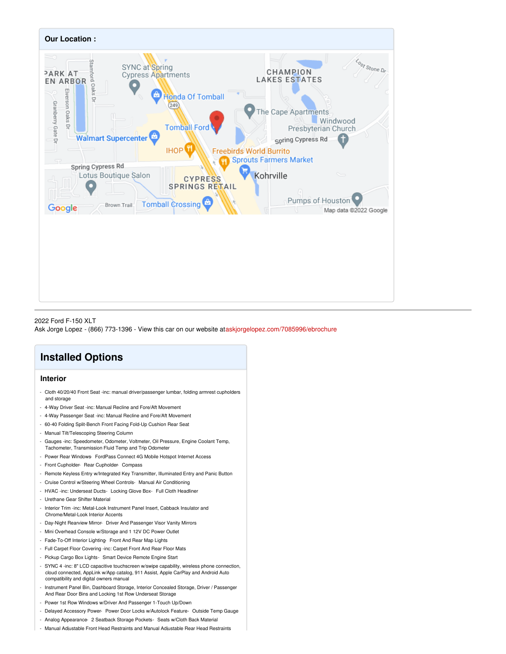

#### 2022 Ford F-150 XLT Ask Jorge Lopez - (866) 773-1396 - View this car on our website at[askjorgelopez.com/7085996/ebrochure](https://askjorgelopez.com/vehicle/7085996/2022-ford-f-150-xlt-tomball-tx-77375/7085996/ebrochure)

## **Installed Options**

#### **Interior**

- Cloth 40/20/40 Front Seat -inc: manual driver/passenger lumbar, folding armrest cupholders and storage
- 4-Way Driver Seat -inc: Manual Recline and Fore/Aft Movement
- 4-Way Passenger Seat -inc: Manual Recline and Fore/Aft Movement
- 60-40 Folding Split-Bench Front Facing Fold-Up Cushion Rear Seat
- Manual Tilt/Telescoping Steering Column
- Gauges -inc: Speedometer, Odometer, Voltmeter, Oil Pressure, Engine Coolant Temp, Tachometer, Transmission Fluid Temp and Trip Odometer
- Power Rear Windows- FordPass Connect 4G Mobile Hotspot Internet Access
- Front Cupholder- Rear Cupholder- Compass
- Remote Keyless Entry w/Integrated Key Transmitter, Illuminated Entry and Panic Button
- Cruise Control w/Steering Wheel Controls- Manual Air Conditioning
- HVAC -inc: Underseat Ducts- Locking Glove Box- Full Cloth Headliner
- Urethane Gear Shifter Material
- Interior Trim -inc: Metal-Look Instrument Panel Insert, Cabback Insulator and Chrome/Metal-Look Interior Accents
- Day-Night Rearview Mirror- Driver And Passenger Visor Vanity Mirrors
- Mini Overhead Console w/Storage and 1 12V DC Power Outlet
- Fade-To-Off Interior Lighting- Front And Rear Map Lights
- Full Carpet Floor Covering -inc: Carpet Front And Rear Floor Mats
- Pickup Cargo Box Lights- Smart Device Remote Engine Start
- SYNC 4 -inc: 8" LCD capacitive touchscreen w/swipe capability, wireless phone connection, cloud connected, AppLink w/App catalog, 911 Assist, Apple CarPlay and Android Auto compatibility and digital owners manual
- Instrument Panel Bin, Dashboard Storage, Interior Concealed Storage, Driver / Passenger And Rear Door Bins and Locking 1st Row Underseat Storage
- Power 1st Row Windows w/Driver And Passenger 1-Touch Up/Down
- Delayed Accessory Power- Power Door Locks w/Autolock Feature- Outside Temp Gauge
- Analog Appearance- 2 Seatback Storage Pockets- Seats w/Cloth Back Material
- Manual Adjustable Front Head Restraints and Manual Adjustable Rear Head Restraints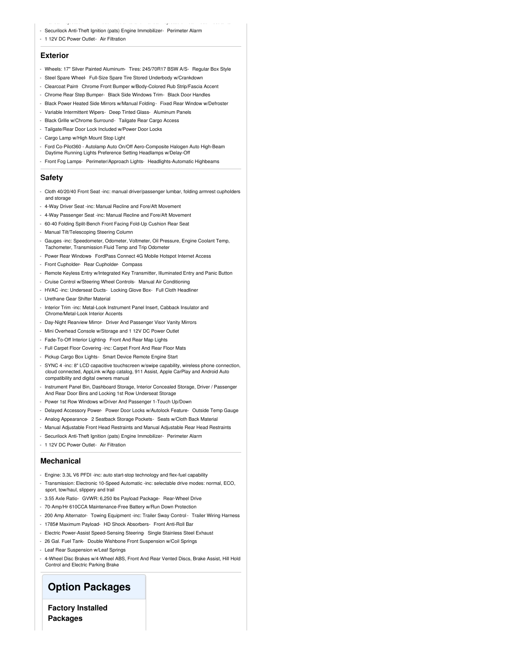- Manual Adjustable Front Head Restraints and Manual Adjustable Rear Head Restraints - Securilock Anti-Theft Ignition (pats) Engine Immobilizer- Perimeter Alarm
- 
- 1 12V DC Power Outlet- Air Filtration

#### **Exterior**

- Wheels: 17" Silver Painted Aluminum- Tires: 245/70R17 BSW A/S- Regular Box Style
- Steel Spare Wheel- Full-Size Spare Tire Stored Underbody w/Crankdown
- Clearcoat Paint Chrome Front Bumper w/Body-Colored Rub Strip/Fascia Accent
- Chrome Rear Step Bumper- Black Side Windows Trim- Black Door Handles
- Black Power Heated Side Mirrors w/Manual Folding- Fixed Rear Window w/Defroster
- Variable Intermittent Wipers- Deep Tinted Glass- Aluminum Panels
- Black Grille w/Chrome Surround- Tailgate Rear Cargo Access
- Tailgate/Rear Door Lock Included w/Power Door Locks
- Cargo Lamp w/High Mount Stop Light
- Ford Co-Pilot360 Autolamp Auto On/Off Aero-Composite Halogen Auto High-Beam Daytime Running Lights Preference Setting Headlamps w/Delay-Off

- Front Fog Lamps- Perimeter/Approach Lights- Headlights-Automatic Highbeams

#### **Safety**

- Cloth 40/20/40 Front Seat -inc: manual driver/passenger lumbar, folding armrest cupholders and storage
- 4-Way Driver Seat -inc: Manual Recline and Fore/Aft Movement
- 4-Way Passenger Seat -inc: Manual Recline and Fore/Aft Movement
- 60-40 Folding Split-Bench Front Facing Fold-Up Cushion Rear Seat
- Manual Tilt/Telescoping Steering Column
- Gauges -inc: Speedometer, Odometer, Voltmeter, Oil Pressure, Engine Coolant Temp, Tachometer, Transmission Fluid Temp and Trip Odometer
- Power Rear Windows- FordPass Connect 4G Mobile Hotspot Internet Access
- Front Cupholder- Rear Cupholder- Compass
- Remote Keyless Entry w/Integrated Key Transmitter, Illuminated Entry and Panic Button
- Cruise Control w/Steering Wheel Controls- Manual Air Conditioning
- HVAC -inc: Underseat Ducts- Locking Glove Box- Full Cloth Headliner
- Urethane Gear Shifter Material
- Interior Trim -inc: Metal-Look Instrument Panel Insert, Cabback Insulator and Chrome/Metal-Look Interior Accents
- Day-Night Rearview Mirror- Driver And Passenger Visor Vanity Mirrors
- Mini Overhead Console w/Storage and 1 12V DC Power Outlet
- Fade-To-Off Interior Lighting- Front And Rear Map Lights
- Full Carpet Floor Covering -inc: Carpet Front And Rear Floor Mats
- Pickup Cargo Box Lights- Smart Device Remote Engine Start
- SYNC 4 -inc: 8" LCD capacitive touchscreen w/swipe capability, wireless phone connection, cloud connected, AppLink w/App catalog, 911 Assist, Apple CarPlay and Android Auto compatibility and digital owners manual
- Instrument Panel Bin, Dashboard Storage, Interior Concealed Storage, Driver / Passenger And Rear Door Bins and Locking 1st Row Underseat Storage
- Power 1st Row Windows w/Driver And Passenger 1-Touch Up/Down
- Delayed Accessory Power- Power Door Locks w/Autolock Feature- Outside Temp Gauge
- Analog Appearance- 2 Seatback Storage Pockets- Seats w/Cloth Back Material
- Manual Adjustable Front Head Restraints and Manual Adjustable Rear Head Restraints
- Securilock Anti-Theft Ignition (pats) Engine Immobilizer- Perimeter Alarm
- 1 12V DC Power Outlet- Air Filtration

#### **Mechanical**

- Engine: 3.3L V6 PFDI -inc: auto start-stop technology and flex-fuel capability
- Transmission: Electronic 10-Speed Automatic -inc: selectable drive modes: normal, ECO, sport, tow/haul, slippery and trail
- 3.55 Axle Ratio- GVWR: 6,250 lbs Payload Package- Rear-Wheel Drive
- 70-Amp/Hr 610CCA Maintenance-Free Battery w/Run Down Protection
- 200 Amp Alternator- Towing Equipment -inc: Trailer Sway Control- Trailer Wiring Harness
- 1785# Maximum Payload- HD Shock Absorbers- Front Anti-Roll Bar
- Electric Power-Assist Speed-Sensing Steering- Single Stainless Steel Exhaust
- 26 Gal. Fuel Tank- Double Wishbone Front Suspension w/Coil Springs
- Leaf Rear Suspension w/Leaf Springs
- 4-Wheel Disc Brakes w/4-Wheel ABS, Front And Rear Vented Discs, Brake Assist, Hill Hold Control and Electric Parking Brake

#### **Option Packages**

**Factory Installed Packages**